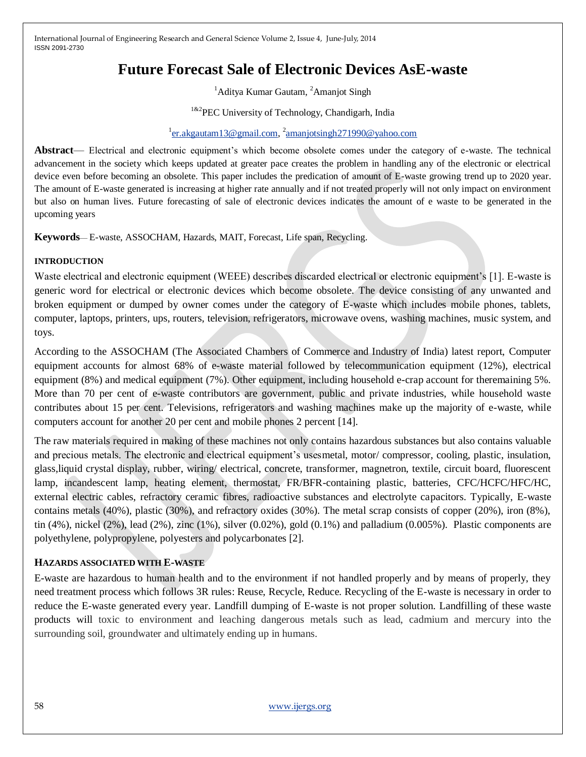# **Future Forecast Sale of Electronic Devices AsE-waste**

<sup>1</sup>Aditya Kumar Gautam, <sup>2</sup>Amanjot Singh

<sup>1&2</sup>PEC University of Technology, Chandigarh, India

## <sup>1</sup>[er.akgautam13@gmail.com,](mailto:er.akgautam13@gmail.com) <sup>2</sup>[amanjotsingh271990@yahoo.com](mailto:amanjotsingh271990@yahoo.com)

**Abstract**— Electrical and electronic equipment's which become obsolete comes under the category of e-waste. The technical advancement in the society which keeps updated at greater pace creates the problem in handling any of the electronic or electrical device even before becoming an obsolete. This paper includes the predication of amount of E-waste growing trend up to 2020 year. The amount of E-waste generated is increasing at higher rate annually and if not treated properly will not only impact on environment but also on human lives. Future forecasting of sale of electronic devices indicates the amount of e waste to be generated in the upcoming years

**Keywords**— E-waste, ASSOCHAM, Hazards, MAIT, Forecast, Life span, Recycling.

## **INTRODUCTION**

Waste electrical and electronic equipment (WEEE) describes discarded electrical or electronic equipment's [1]. E-waste is generic word for electrical or electronic devices which become obsolete. The device consisting of any unwanted and broken equipment or dumped by owner comes under the category of E-waste which includes mobile phones, tablets, computer, laptops, printers, ups, routers, television, refrigerators, microwave ovens, washing machines, music system, and toys.

According to the ASSOCHAM (The Associated Chambers of Commerce and Industry of India) latest report, Computer equipment accounts for almost 68% of e-waste material followed by telecommunication equipment (12%), electrical equipment (8%) and medical equipment (7%). Other equipment, including household e-crap account for theremaining 5%. More than 70 per cent of e-waste contributors are government, public and private industries, while household waste contributes about 15 per cent. Televisions, refrigerators and washing machines make up the majority of e-waste, while computers account for another 20 per cent and mobile phones 2 percent [14].

The raw materials required in making of these machines not only contains hazardous substances but also contains valuable and precious metals. The electronic and electrical equipment's usesmetal, motor/ compressor, cooling, plastic, insulation, glass,liquid crystal display, rubber, wiring/ electrical, concrete, transformer, magnetron, textile, circuit board, fluorescent lamp, incandescent lamp, heating element, thermostat, FR/BFR-containing plastic, batteries, CFC/HCFC/HFC/HC, external electric cables, refractory ceramic fibres, radioactive substances and electrolyte capacitors. Typically, E-waste contains metals (40%), plastic (30%), and refractory oxides (30%). The metal scrap consists of copper (20%), iron (8%), tin  $(4\%)$ , nickel  $(2\%)$ , lead  $(2\%)$ , zinc  $(1\%)$ , silver  $(0.02\%)$ , gold  $(0.1\%)$  and palladium  $(0.005\%)$ . Plastic components are polyethylene, polypropylene, polyesters and polycarbonates [2].

# **HAZARDS ASSOCIATED WITH E-WASTE**

E-waste are hazardous to human health and to the environment if not handled properly and by means of properly, they need treatment process which follows 3R rules: Reuse, Recycle, Reduce. Recycling of the E-waste is necessary in order to reduce the E-waste generated every year. Landfill dumping of E-waste is not proper solution. Landfilling of these waste products will toxic to environment and leaching dangerous metals such as lead, cadmium and mercury into the surrounding soil, groundwater and ultimately ending up in humans.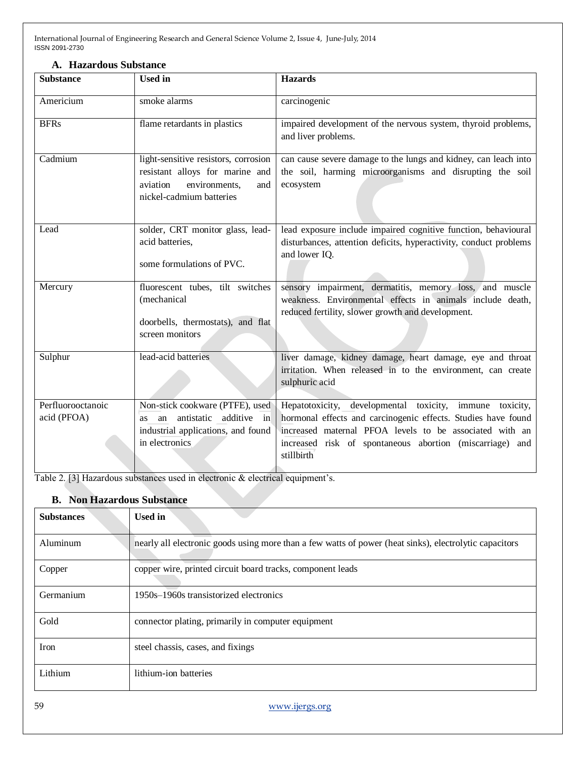| A. Hazardous Substance |  |
|------------------------|--|
|                        |  |

| <b>Substance</b>                 | <b>Used</b> in                                                                                                                          | <b>Hazards</b>                                                                                                                                                                                                                                                 |
|----------------------------------|-----------------------------------------------------------------------------------------------------------------------------------------|----------------------------------------------------------------------------------------------------------------------------------------------------------------------------------------------------------------------------------------------------------------|
| Americium                        | smoke alarms                                                                                                                            | carcinogenic                                                                                                                                                                                                                                                   |
| <b>BFRs</b>                      | flame retardants in plastics                                                                                                            | impaired development of the nervous system, thyroid problems,<br>and liver problems.                                                                                                                                                                           |
| Cadmium                          | light-sensitive resistors, corrosion<br>resistant alloys for marine and<br>aviation<br>environments,<br>and<br>nickel-cadmium batteries | can cause severe damage to the lungs and kidney, can leach into<br>the soil, harming microorganisms and disrupting the soil<br>ecosystem                                                                                                                       |
| Lead                             | solder, CRT monitor glass, lead-<br>acid batteries,<br>some formulations of PVC.                                                        | lead exposure include impaired cognitive function, behavioural<br>disturbances, attention deficits, hyperactivity, conduct problems<br>and lower IQ.                                                                                                           |
| Mercury                          | fluorescent tubes, tilt switches<br>(mechanical<br>doorbells, thermostats), and flat<br>screen monitors                                 | sensory impairment, dermatitis, memory loss, and muscle<br>weakness. Environmental effects in animals include death,<br>reduced fertility, slower growth and development.                                                                                      |
| Sulphur                          | lead-acid batteries                                                                                                                     | liver damage, kidney damage, heart damage, eye and throat<br>irritation. When released in to the environment, can create<br>sulphuric acid                                                                                                                     |
| Perfluorooctanoic<br>acid (PFOA) | Non-stick cookware (PTFE), used<br>additive in<br>antistatic<br>an<br>as<br>industrial applications, and found<br>in electronics        | Hepatotoxicity, developmental toxicity, immune toxicity,<br>hormonal effects and carcinogenic effects. Studies have found<br>increased maternal PFOA levels to be associated with an<br>increased risk of spontaneous abortion (miscarriage) and<br>stillbirth |

Table 2. [3] Hazardous substances used in electronic & electrical equipment's.

# **B. Non Hazardous Substance**

| <b>Substances</b> | <b>Used in</b>                                                                                         |
|-------------------|--------------------------------------------------------------------------------------------------------|
| Aluminum          | nearly all electronic goods using more than a few watts of power (heat sinks), electrolytic capacitors |
| Copper            | copper wire, printed circuit board tracks, component leads                                             |
| Germanium         | 1950s–1960s transistorized electronics                                                                 |
| Gold              | connector plating, primarily in computer equipment                                                     |
| Iron              | steel chassis, cases, and fixings                                                                      |
| Lithium           | lithium-ion batteries                                                                                  |

59 [www.ijergs.org](http://www.ijergs.org/)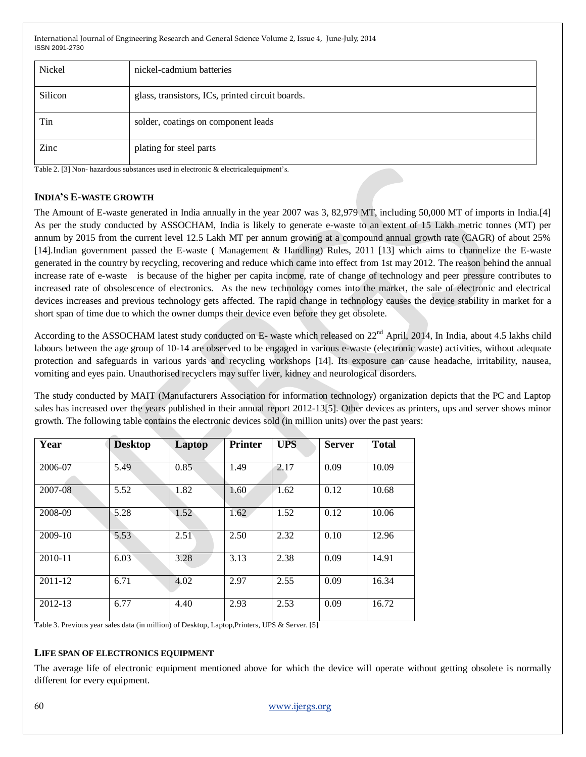| Nickel  | nickel-cadmium batteries                         |
|---------|--------------------------------------------------|
| Silicon | glass, transistors, ICs, printed circuit boards. |
| Tin     | solder, coatings on component leads              |
| Zinc    | plating for steel parts                          |

Table 2. [3] Non- hazardous substances used in electronic & electricalequipment's.

### **INDIA'S E-WASTE GROWTH**

The Amount of E-waste generated in India annually in the year 2007 was 3, 82,979 MT, including 50,000 MT of imports in India.[4] As per the study conducted by ASSOCHAM, India is likely to generate e-waste to an extent of 15 Lakh metric tonnes (MT) per annum by 2015 from the current level 12.5 Lakh MT per annum growing at a compound annual growth rate (CAGR) of about 25% [14].Indian government passed the E-waste ( Management & Handling) Rules, 2011 [13] which aims to channelize the E-waste generated in the country by recycling, recovering and reduce which came into effect from 1st may 2012. The reason behind the annual increase rate of e-waste is because of the higher per capita income, rate of change of technology and peer pressure contributes to increased rate of obsolescence of electronics. As the new technology comes into the market, the sale of electronic and electrical devices increases and previous technology gets affected. The rapid change in technology causes the device stability in market for a short span of time due to which the owner dumps their device even before they get obsolete.

According to the ASSOCHAM latest study conducted on E- waste which released on 22<sup>nd</sup> April, 2014, In India, about 4.5 lakhs child labours between the age group of 10-14 are observed to be engaged in various e-waste (electronic waste) activities, without adequate protection and safeguards in various yards and recycling workshops [14]. Its exposure can cause headache, irritability, nausea, vomiting and eyes pain. Unauthorised recyclers may suffer liver, kidney and neurological disorders.

The study conducted by MAIT (Manufacturers Association for information technology) organization depicts that the PC and Laptop sales has increased over the years published in their annual report 2012-13[5]. Other devices as printers, ups and server shows minor growth. The following table contains the electronic devices sold (in million units) over the past years:

| Year      | <b>Desktop</b> | Laptop         | <b>Printer</b> | <b>UPS</b> | <b>Server</b> | <b>Total</b> |
|-----------|----------------|----------------|----------------|------------|---------------|--------------|
| 2006-07   | 5.49           | 0.85           | 1.49           | 2.17       | 0.09          | 10.09        |
| 2007-08   | 5.52           | 1.82           | 1.60           | 1.62       | 0.12          | 10.68        |
| 2008-09   | 5.28           | $1.52^{\circ}$ | 1.62           | 1.52       | 0.12          | 10.06        |
| $2009-10$ | 5.53           | 2.51           | 2.50           | 2.32       | 0.10          | 12.96        |
| 2010-11   | 6.03           | 3.28           | 3.13           | 2.38       | 0.09          | 14.91        |
| 2011-12   | 6.71           | 4.02           | 2.97           | 2.55       | 0.09          | 16.34        |
| 2012-13   | 6.77           | 4.40           | 2.93           | 2.53       | 0.09          | 16.72        |

Table 3. Previous year sales data (in million) of Desktop, Laptop,Printers, UPS & Server. [5]

#### **LIFE SPAN OF ELECTRONICS EQUIPMENT**

The average life of electronic equipment mentioned above for which the device will operate without getting obsolete is normally different for every equipment.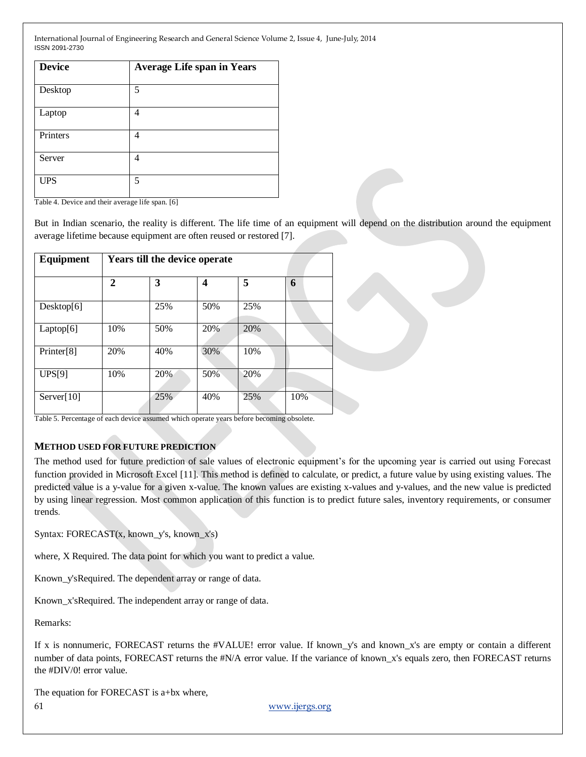| <b>Device</b> | <b>Average Life span in Years</b> |
|---------------|-----------------------------------|
| Desktop       | 5                                 |
| Laptop        | 4                                 |
| Printers      | 4                                 |
| Server        | 4                                 |
| <b>UPS</b>    | 5                                 |

Table 4. Device and their average life span. [6]

But in Indian scenario, the reality is different. The life time of an equipment will depend on the distribution around the equipment average lifetime because equipment are often reused or restored [7].

| Equipment  | Years till the device operate |     |     |     |     |
|------------|-------------------------------|-----|-----|-----|-----|
|            | $\mathbf{2}$                  | 3   | 4   | 5   | 6   |
| Desktop[6] |                               | 25% | 50% | 25% |     |
| Laptop[6]  | 10%                           | 50% | 20% | 20% |     |
| Printer[8] | 20%                           | 40% | 30% | 10% |     |
| UPS[9]     | 10%                           | 20% | 50% | 20% |     |
| Server[10] |                               | 25% | 40% | 25% | 10% |

Table 5. Percentage of each device assumed which operate years before becoming obsolete.

#### **METHOD USED FOR FUTURE PREDICTION**

The method used for future prediction of sale values of electronic equipment's for the upcoming year is carried out using Forecast function provided in Microsoft Excel [11]. This method is defined to calculate, or predict, a future value by using existing values. The predicted value is a y-value for a given x-value. The known values are existing x-values and y-values, and the new value is predicted by using linear regression. Most common application of this function is to predict future sales, inventory requirements, or consumer trends.

Syntax: FORECAST(x, known\_y's, known\_x's)

where, X Required. The data point for which you want to predict a value.

Known\_y'sRequired. The dependent array or range of data.

Known x'sRequired. The independent array or range of data.

Remarks:

If x is nonnumeric, FORECAST returns the #VALUE! error value. If known\_y's and known\_x's are empty or contain a different number of data points, FORECAST returns the #N/A error value. If the variance of known\_x's equals zero, then FORECAST returns the #DIV/0! error value.

The equation for FORECAST is a+bx where,

61 [www.ijergs.org](http://www.ijergs.org/)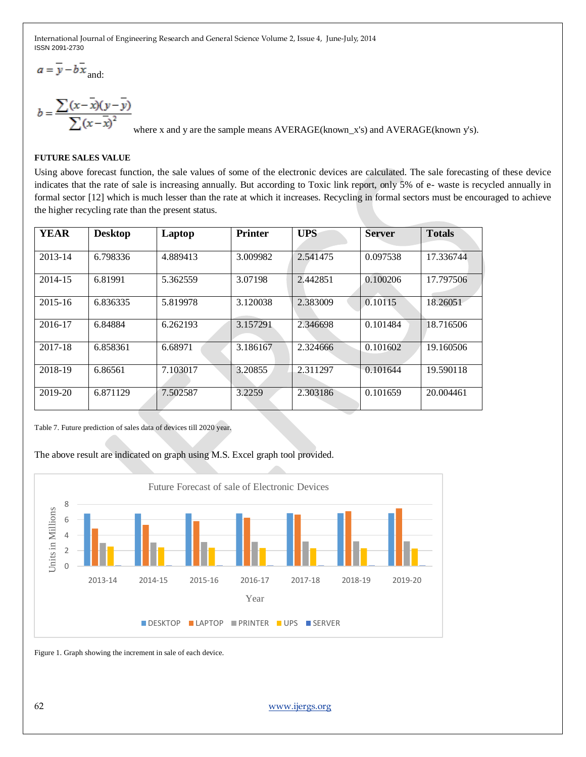$a = \overline{y} - b\overline{x}$ <sub>and:</sub>

 $b = \frac{\sum (x - \overline{x})(y - \overline{y})}{\sum (x - \overline{x})^2}$ where x and y are the sample means AVERAGE(known\_x's) and AVERAGE(known y's).

# **FUTURE SALES VALUE**

Using above forecast function, the sale values of some of the electronic devices are calculated. The sale forecasting of these device indicates that the rate of sale is increasing annually. But according to Toxic link report, only 5% of e- waste is recycled annually in formal sector [12] which is much lesser than the rate at which it increases. Recycling in formal sectors must be encouraged to achieve the higher recycling rate than the present status.

| <b>YEAR</b> | <b>Desktop</b> | Laptop   | <b>Printer</b> | <b>UPS</b> | <b>Server</b> | <b>Totals</b> |
|-------------|----------------|----------|----------------|------------|---------------|---------------|
| 2013-14     | 6.798336       | 4.889413 | 3.009982       | 2.541475   | 0.097538      | 17.336744     |
| 2014-15     | 6.81991        | 5.362559 | 3.07198        | 2.442851   | 0.100206      | 17.797506     |
| $2015 - 16$ | 6.836335       | 5.819978 | 3.120038       | 2.383009   | 0.10115       | 18.26051      |
| 2016-17     | 6.84884        | 6.262193 | 3.157291       | 2.346698   | 0.101484      | 18.716506     |
| 2017-18     | 6.858361       | 6.68971  | 3.186167       | 2.324666   | 0.101602      | 19.160506     |
| 2018-19     | 6.86561        | 7.103017 | 3.20855        | 2.311297   | 0.101644      | 19.590118     |
| 2019-20     | 6.871129       | 7.502587 | 3.2259         | 2.303186   | 0.101659      | 20.004461     |

Table 7. Future prediction of sales data of devices till 2020 year.

## The above result are indicated on graph using M.S. Excel graph tool provided.



Figure 1. Graph showing the increment in sale of each device.

62 [www.ijergs.org](http://www.ijergs.org/)